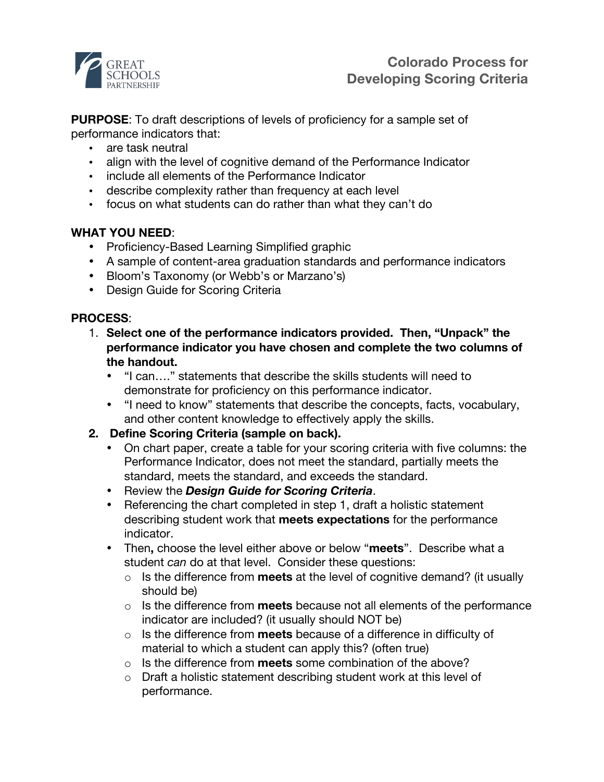

**PURPOSE**: To draft descriptions of levels of proficiency for a sample set of performance indicators that:

- are task neutral
- align with the level of cognitive demand of the Performance Indicator
- include all elements of the Performance Indicator
- describe complexity rather than frequency at each level
- focus on what students can do rather than what they can't do

### **WHAT YOU NEED**:

- Proficiency-Based Learning Simplified graphic
- A sample of content-area graduation standards and performance indicators
- Bloom's Taxonomy (or Webb's or Marzano's)
- Design Guide for Scoring Criteria

## **PROCESS**:

- 1. **Select one of the performance indicators provided. Then, "Unpack" the performance indicator you have chosen and complete the two columns of the handout.**
	- "I can…." statements that describe the skills students will need to demonstrate for proficiency on this performance indicator.
	- "I need to know" statements that describe the concepts, facts, vocabulary, and other content knowledge to effectively apply the skills.
- **2. Define Scoring Criteria (sample on back).**
	- On chart paper, create a table for your scoring criteria with five columns: the Performance Indicator, does not meet the standard, partially meets the standard, meets the standard, and exceeds the standard.
	- Review the *Design Guide for Scoring Criteria*.
	- Referencing the chart completed in step 1, draft a holistic statement describing student work that **meets expectations** for the performance indicator.
	- Then**,** choose the level either above or below "**meets**". Describe what a student *can* do at that level. Consider these questions:
		- o Is the difference from **meets** at the level of cognitive demand? (it usually should be)
		- o Is the difference from **meets** because not all elements of the performance indicator are included? (it usually should NOT be)
		- o Is the difference from **meets** because of a difference in difficulty of material to which a student can apply this? (often true)
		- o Is the difference from **meets** some combination of the above?
		- o Draft a holistic statement describing student work at this level of performance.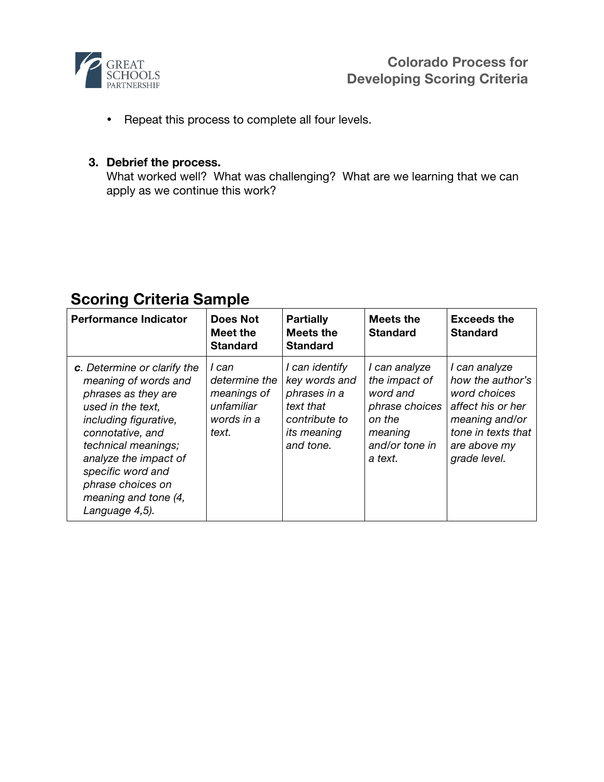

• Repeat this process to complete all four levels.

#### **3. Debrief the process.**

What worked well? What was challenging? What are we learning that we can apply as we continue this work?

# **Scoring Criteria Sample**

| <b>Performance Indicator</b>                                                                                                                                                                                                                                                     | <b>Does Not</b><br>Meet the<br><b>Standard</b>                             | <b>Partially</b><br><b>Meets the</b><br><b>Standard</b>                                                   | <b>Meets the</b><br><b>Standard</b>                                                                            | <b>Exceeds the</b><br><b>Standard</b>                                                                                                          |
|----------------------------------------------------------------------------------------------------------------------------------------------------------------------------------------------------------------------------------------------------------------------------------|----------------------------------------------------------------------------|-----------------------------------------------------------------------------------------------------------|----------------------------------------------------------------------------------------------------------------|------------------------------------------------------------------------------------------------------------------------------------------------|
| c. Determine or clarify the<br>meaning of words and<br>phrases as they are<br>used in the text.<br>including figurative,<br>connotative, and<br>technical meanings;<br>analyze the impact of<br>specific word and<br>phrase choices on<br>meaning and tone (4,<br>Language 4,5). | I can<br>determine the<br>meanings of<br>unfamiliar<br>words in a<br>text. | I can identify<br>key words and<br>phrases in a<br>text that<br>contribute to<br>its meaning<br>and tone. | I can analyze<br>the impact of<br>word and<br>phrase choices<br>on the<br>meaning<br>and/or tone in<br>a text. | I can analyze<br>how the author's<br>word choices<br>affect his or her<br>meaning and/or<br>tone in texts that<br>are above my<br>grade level. |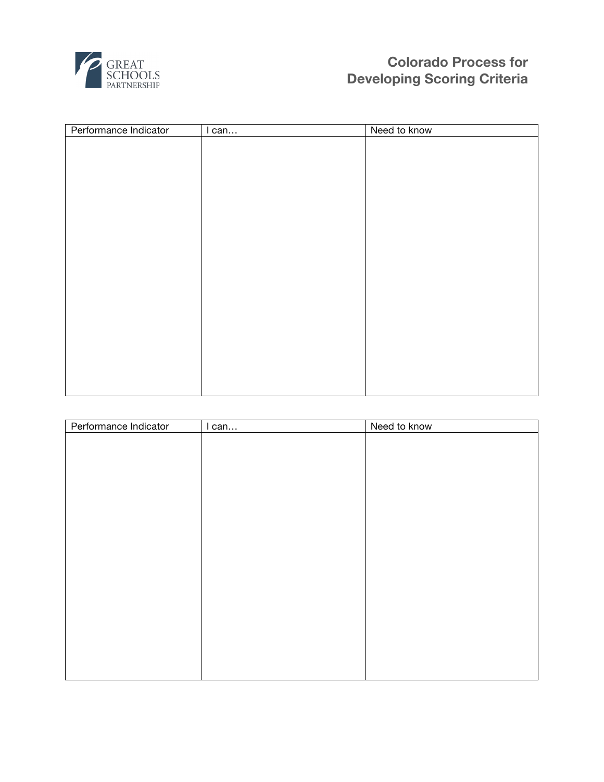

| Performance Indicator | I can | Need to know |
|-----------------------|-------|--------------|
|                       |       |              |
|                       |       |              |
|                       |       |              |
|                       |       |              |
|                       |       |              |
|                       |       |              |
|                       |       |              |
|                       |       |              |
|                       |       |              |
|                       |       |              |
|                       |       |              |
|                       |       |              |
|                       |       |              |
|                       |       |              |
|                       |       |              |
|                       |       |              |
|                       |       |              |
|                       |       |              |
|                       |       |              |
|                       |       |              |
|                       |       |              |

| Performance Indicator | $l$ can | Need to know |
|-----------------------|---------|--------------|
|                       |         |              |
|                       |         |              |
|                       |         |              |
|                       |         |              |
|                       |         |              |
|                       |         |              |
|                       |         |              |
|                       |         |              |
|                       |         |              |
|                       |         |              |
|                       |         |              |
|                       |         |              |
|                       |         |              |
|                       |         |              |
|                       |         |              |
|                       |         |              |
|                       |         |              |
|                       |         |              |
|                       |         |              |
|                       |         |              |